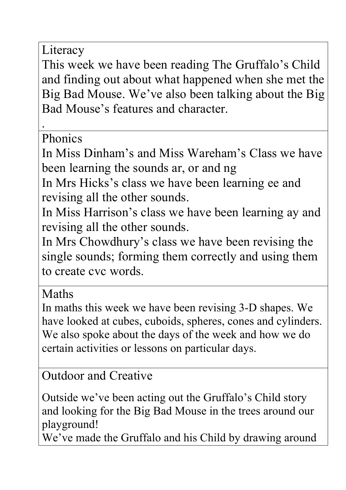Literacy

This week we have been reading The Gruffalo's Child and finding out about what happened when she met the Big Bad Mouse. We've also been talking about the Big Bad Mouse's features and character.

**Phonics** 

.

In Miss Dinham's and Miss Wareham's Class we have been learning the sounds ar, or and ng

In Mrs Hicks's class we have been learning ee and revising all the other sounds.

In Miss Harrison's class we have been learning ay and revising all the other sounds.

In Mrs Chowdhury's class we have been revising the single sounds; forming them correctly and using them to create cvc words.

Maths

In maths this week we have been revising 3-D shapes. We have looked at cubes, cuboids, spheres, cones and cylinders. We also spoke about the days of the week and how we do certain activities or lessons on particular days.

Outdoor and Creative

Outside we've been acting out the Gruffalo's Child story and looking for the Big Bad Mouse in the trees around our playground!

We've made the Gruffalo and his Child by drawing around